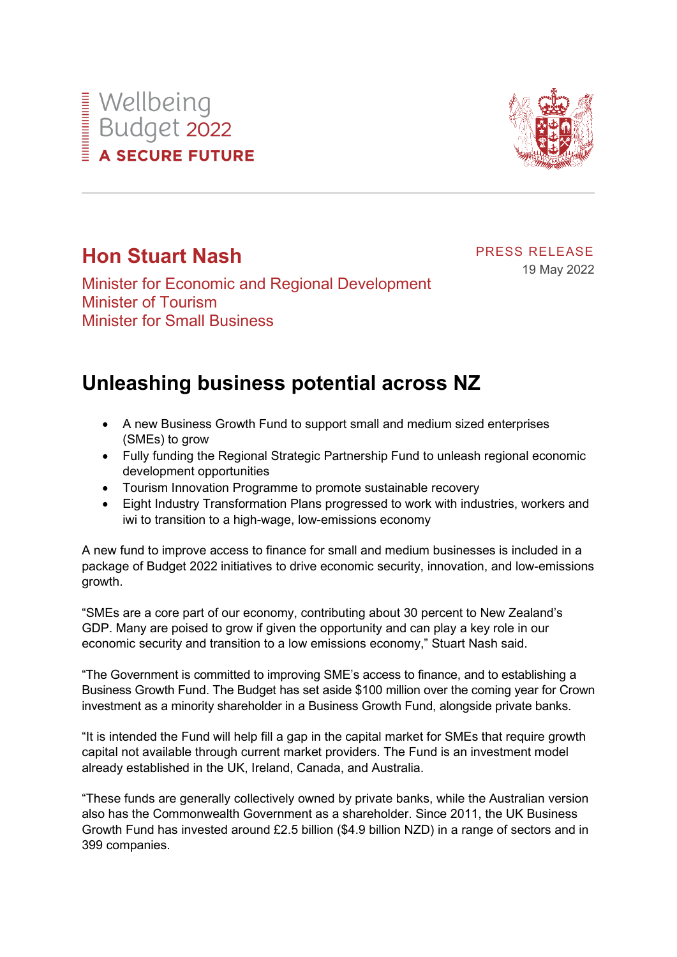# Wellbeing<br>Budget 2022<br>A SECURE FUTU **A SECURE FUTURE**



## **Hon Stuart Nash**

Minister for Economic and Regional Development Minister of Tourism Minister for Small Business

PRESS RELEASE

19 May 2022

## **Unleashing business potential across NZ**

- A new Business Growth Fund to support small and medium sized enterprises (SMEs) to grow
- Fully funding the Regional Strategic Partnership Fund to unleash regional economic development opportunities
- Tourism Innovation Programme to promote sustainable recovery
- Eight Industry Transformation Plans progressed to work with industries, workers and iwi to transition to a high-wage, low-emissions economy

A new fund to improve access to finance for small and medium businesses is included in a package of Budget 2022 initiatives to drive economic security, innovation, and low-emissions growth.

"SMEs are a core part of our economy, contributing about 30 percent to New Zealand's GDP. Many are poised to grow if given the opportunity and can play a key role in our economic security and transition to a low emissions economy," Stuart Nash said.

"The Government is committed to improving SME's access to finance, and to establishing a Business Growth Fund. The Budget has set aside \$100 million over the coming year for Crown investment as a minority shareholder in a Business Growth Fund, alongside private banks.

"It is intended the Fund will help fill a gap in the capital market for SMEs that require growth capital not available through current market providers. The Fund is an investment model already established in the UK, Ireland, Canada, and Australia.

"These funds are generally collectively owned by private banks, while the Australian version also has the Commonwealth Government as a shareholder. Since 2011, the UK Business Growth Fund has invested around £2.5 billion (\$4.9 billion NZD) in a range of sectors and in 399 companies.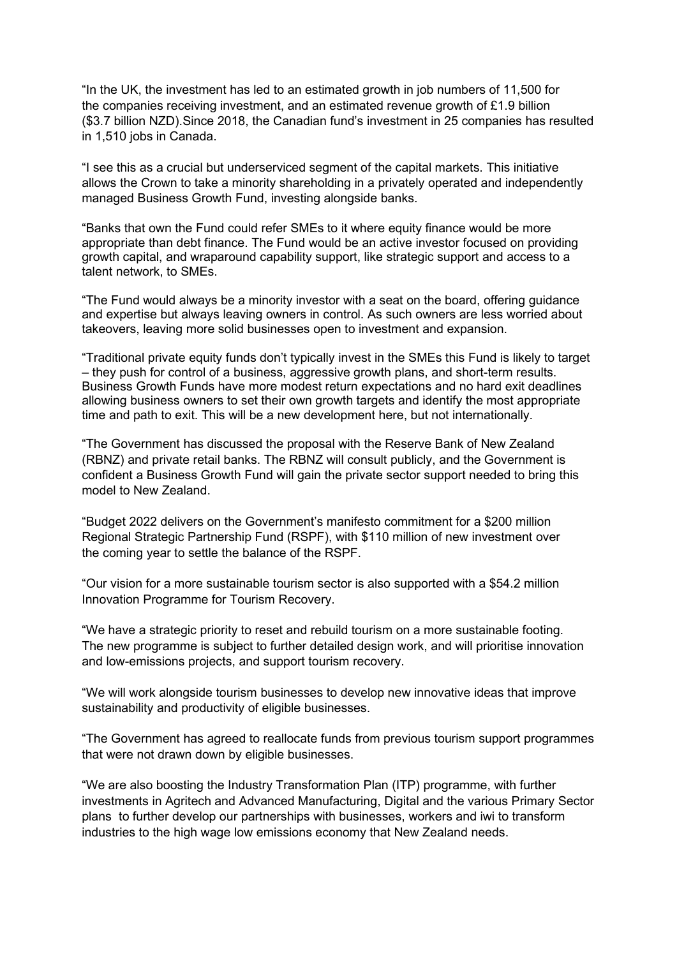"In the UK, the investment has led to an estimated growth in job numbers of 11,500 for the companies receiving investment, and an estimated revenue growth of £1.9 billion (\$3.7 billion NZD).Since 2018, the Canadian fund's investment in 25 companies has resulted in 1,510 jobs in Canada.

"I see this as a crucial but underserviced segment of the capital markets. This initiative allows the Crown to take a minority shareholding in a privately operated and independently managed Business Growth Fund, investing alongside banks.

"Banks that own the Fund could refer SMEs to it where equity finance would be more appropriate than debt finance. The Fund would be an active investor focused on providing growth capital, and wraparound capability support, like strategic support and access to a talent network, to SMEs.

"The Fund would always be a minority investor with a seat on the board, offering guidance and expertise but always leaving owners in control. As such owners are less worried about takeovers, leaving more solid businesses open to investment and expansion.

"Traditional private equity funds don't typically invest in the SMEs this Fund is likely to target – they push for control of a business, aggressive growth plans, and short-term results. Business Growth Funds have more modest return expectations and no hard exit deadlines allowing business owners to set their own growth targets and identify the most appropriate time and path to exit. This will be a new development here, but not internationally.

"The Government has discussed the proposal with the Reserve Bank of New Zealand (RBNZ) and private retail banks. The RBNZ will consult publicly, and the Government is confident a Business Growth Fund will gain the private sector support needed to bring this model to New Zealand.

"Budget 2022 delivers on the Government's manifesto commitment for a \$200 million Regional Strategic Partnership Fund (RSPF), with \$110 million of new investment over the coming year to settle the balance of the RSPF.

"Our vision for a more sustainable tourism sector is also supported with a \$54.2 million Innovation Programme for Tourism Recovery.

"We have a strategic priority to reset and rebuild tourism on a more sustainable footing. The new programme is subject to further detailed design work, and will prioritise innovation and low-emissions projects, and support tourism recovery.

"We will work alongside tourism businesses to develop new innovative ideas that improve sustainability and productivity of eligible businesses.

"The Government has agreed to reallocate funds from previous tourism support programmes that were not drawn down by eligible businesses.

"We are also boosting the Industry Transformation Plan (ITP) programme, with further investments in Agritech and Advanced Manufacturing, Digital and the various Primary Sector plans to further develop our partnerships with businesses, workers and iwi to transform industries to the high wage low emissions economy that New Zealand needs.